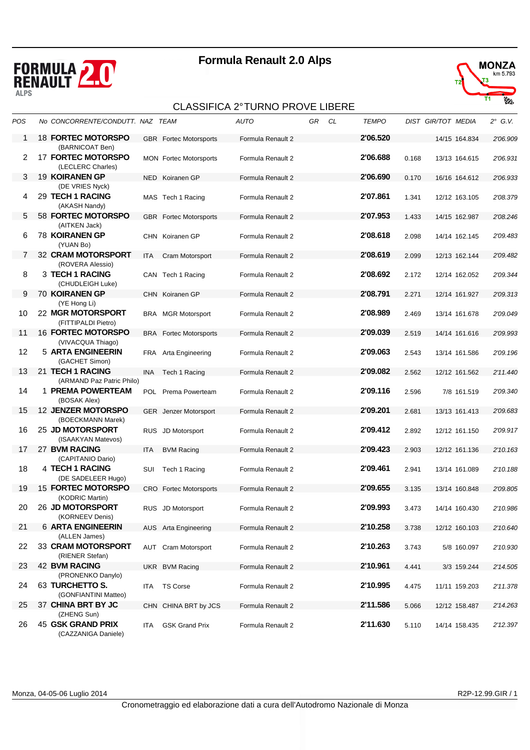





| POS | No CONCORRENTE/CONDUTT. NAZ TEAM                               |            |                               | <b>AUTO</b>       | GR | CL | <b>TEMPO</b> |       | <b>DIST GIR/TOT MEDIA</b> | $2^\circ$ G.V. |
|-----|----------------------------------------------------------------|------------|-------------------------------|-------------------|----|----|--------------|-------|---------------------------|----------------|
| 1   | <b>18 FORTEC MOTORSPO</b><br>(BARNICOAT Ben)                   |            | <b>GBR</b> Fortec Motorsports | Formula Renault 2 |    |    | 2'06.520     |       | 14/15 164.834             | 2'06.909       |
| 2   | <b>17 FORTEC MOTORSPO</b><br>(LECLERC Charles)                 |            | <b>MON</b> Fortec Motorsports | Formula Renault 2 |    |    | 2'06.688     | 0.168 | 13/13 164.615             | 2'06.931       |
| 3   | 19 KOIRANEN GP                                                 |            | NED Koiranen GP               | Formula Renault 2 |    |    | 2'06.690     | 0.170 | 16/16 164.612             | 2'06.933       |
| 4   | (DE VRIES Nyck)<br>29 TECH 1 RACING<br>(AKASH Nandy)           |            | MAS Tech 1 Racing             | Formula Renault 2 |    |    | 2'07.861     | 1.341 | 12/12 163.105             | 2'08.379       |
| 5   | 58 FORTEC MOTORSPO<br>(AITKEN Jack)                            |            | <b>GBR</b> Fortec Motorsports | Formula Renault 2 |    |    | 2'07.953     | 1.433 | 14/15 162.987             | 2'08.246       |
| 6   | <b>78 KOIRANEN GP</b><br>(YUAN Bo)                             |            | CHN Koiranen GP               | Formula Renault 2 |    |    | 2'08.618     | 2.098 | 14/14 162.145             | 2'09.483       |
| 7   | 32 CRAM MOTORSPORT                                             | ITA        | Cram Motorsport               | Formula Renault 2 |    |    | 2'08.619     | 2.099 | 12/13 162.144             | 2'09.482       |
| 8   | (ROVERA Alessio)<br>3 TECH 1 RACING<br>(CHUDLEIGH Luke)        |            | CAN Tech 1 Racing             | Formula Renault 2 |    |    | 2'08.692     | 2.172 | 12/14 162.052             | 2'09.344       |
| 9   | 70 KOIRANEN GP                                                 |            | CHN Koiranen GP               | Formula Renault 2 |    |    | 2'08.791     | 2.271 | 12/14 161.927             | 2'09.313       |
| 10  | (YE Hong Li)<br>22 MGR MOTORSPORT<br>(FITTIPALDI Pietro)       |            | <b>BRA</b> MGR Motorsport     | Formula Renault 2 |    |    | 2'08.989     | 2.469 | 13/14 161.678             | 2'09.049       |
| 11  | <b>16 FORTEC MOTORSPO</b>                                      |            | <b>BRA</b> Fortec Motorsports | Formula Renault 2 |    |    | 2'09.039     | 2.519 | 14/14 161.616             | 2'09.993       |
| 12  | (VIVACQUA Thiago)<br>5 ARTA ENGINEERIN<br>(GACHET Simon)       |            | FRA Arta Engineering          | Formula Renault 2 |    |    | 2'09.063     | 2.543 | 13/14 161.586             | 2'09.196       |
| 13  | 21 TECH 1 RACING                                               | INA        | Tech 1 Racing                 | Formula Renault 2 |    |    | 2'09.082     | 2.562 | 12/12 161.562             | 2'11.440       |
| 14  | (ARMAND Paz Patric Philo)<br>1 PREMA POWERTEAM<br>(BOSAK Alex) |            | POL Prema Powerteam           | Formula Renault 2 |    |    | 2'09.116     | 2.596 | 7/8 161.519               | 2'09.340       |
| 15  | <b>12 JENZER MOTORSPO</b>                                      |            | GER Jenzer Motorsport         | Formula Renault 2 |    |    | 2'09.201     | 2.681 | 13/13 161.413             | 2'09.683       |
| 16  | (BOECKMANN Marek)<br>25 JD MOTORSPORT<br>(ISAAKYAN Matevos)    |            | RUS JD Motorsport             | Formula Renault 2 |    |    | 2'09.412     | 2.892 | 12/12 161.150             | 2'09.917       |
| 17  | 27 BVM RACING<br>(CAPITANIO Dario)                             | <b>ITA</b> | <b>BVM Racing</b>             | Formula Renault 2 |    |    | 2'09.423     | 2.903 | 12/12 161.136             | 2'10.163       |
| 18  | 4 TECH 1 RACING<br>(DE SADELEER Hugo)                          | SUI        | Tech 1 Racing                 | Formula Renault 2 |    |    | 2'09.461     | 2.941 | 13/14 161.089             | 2'10.188       |
| 19  | <b>15 FORTEC MOTORSPO</b><br>(KODRIC Martin)                   |            | <b>CRO</b> Fortec Motorsports | Formula Renault 2 |    |    | 2'09.655     | 3.135 | 13/14 160.848             | 2'09.805       |
| 20  | 26 JD MOTORSPORT<br>(KORNEEV Denis)                            |            | RUS JD Motorsport             | Formula Renault 2 |    |    | 2'09.993     | 3.473 | 14/14 160.430             | 2'10.986       |
| 21  | <b>6 ARTA ENGINEERIN</b>                                       |            | AUS Arta Engineering          | Formula Renault 2 |    |    | 2'10.258     | 3.738 | 12/12 160.103             | 2'10.640       |
| 22  | (ALLEN James)<br><b>33 CRAM MOTORSPORT</b><br>(RIENER Stefan)  |            | <b>AUT</b> Cram Motorsport    | Formula Renault 2 |    |    | 2'10.263     | 3.743 | 5/8 160.097               | 2'10.930       |
| 23  | <b>42 BVM RACING</b>                                           |            | UKR BVM Racing                | Formula Renault 2 |    |    | 2'10.961     | 4.441 | 3/3 159.244               | 2'14.505       |
| 24  | (PRONENKO Danylo)<br>63 TURCHETTO S.<br>(GONFIANTINI Matteo)   | ITA.       | <b>TS Corse</b>               | Formula Renault 2 |    |    | 2'10.995     | 4.475 | 11/11 159.203             | 2'11.378       |
| 25  | 37 CHINA BRT BY JC                                             |            | CHN CHINA BRT by JCS          | Formula Renault 2 |    |    | 2'11.586     | 5.066 | 12/12 158.487             | 2'14.263       |
| 26  | (ZHENG Sun)<br>45 GSK GRAND PRIX<br>(CAZZANIGA Daniele)        | ITA        | <b>GSK Grand Prix</b>         | Formula Renault 2 |    |    | 2'11.630     | 5.110 | 14/14 158.435             | 2'12.397       |

Monza, 04-05-06 Luglio 2014 R2P-12.99.GIR / 1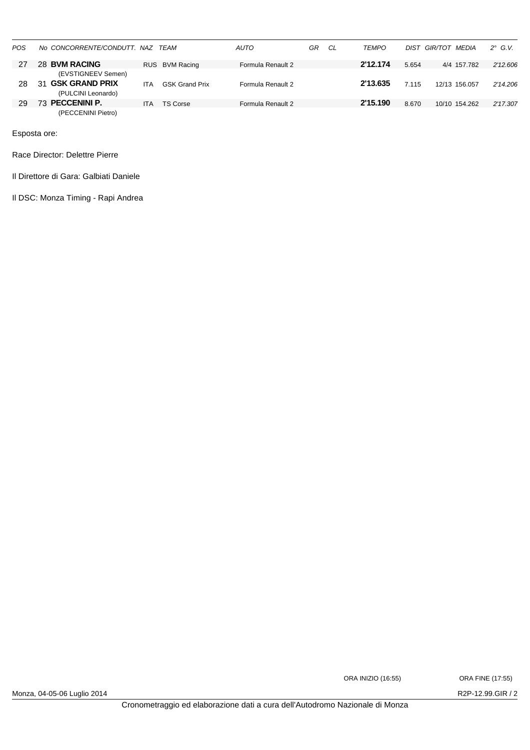| POS | No CONCORRENTE/CONDUTT, NAZ TEAM |            |                       | <b>AUTO</b>       | GR | CL | <b>TEMPO</b> | DIST  | MEDIA<br>GIR/TOT | $2^\circ$ G.V. |
|-----|----------------------------------|------------|-----------------------|-------------------|----|----|--------------|-------|------------------|----------------|
| 27  | 28 BVM RACING                    |            | RUS BVM Racing        | Formula Renault 2 |    |    | 2'12.174     | 5.654 | 4/4 157.782      | 2'12.606       |
|     | (EVSTIGNEEV Semen)               |            |                       |                   |    |    |              |       |                  |                |
| 28  | <b>GSK GRAND PRIX</b><br>31      | ITA        | <b>GSK Grand Prix</b> | Formula Renault 2 |    |    | 2'13.635     | 7.115 | 12/13 156 057    | 2'14.206       |
|     | (PULCINI Leonardo)               |            |                       |                   |    |    |              |       |                  |                |
| 29  | <b>PECCENINI P.</b>              | <b>ITA</b> | TS Corse              | Formula Renault 2 |    |    | 2'15.190     | 8.670 | 10/10 154.262    | 2'17.307       |
|     | (PECCENINI Pietro)               |            |                       |                   |    |    |              |       |                  |                |

Race Director: Delettre Pierre

Il Direttore di Gara: Galbiati Daniele

Il DSC: Monza Timing - Rapi Andrea

Monza, 04-05-06 Luglio 2014 2001 2014

ORA INIZIO (16:55) ORA FINE (17:55)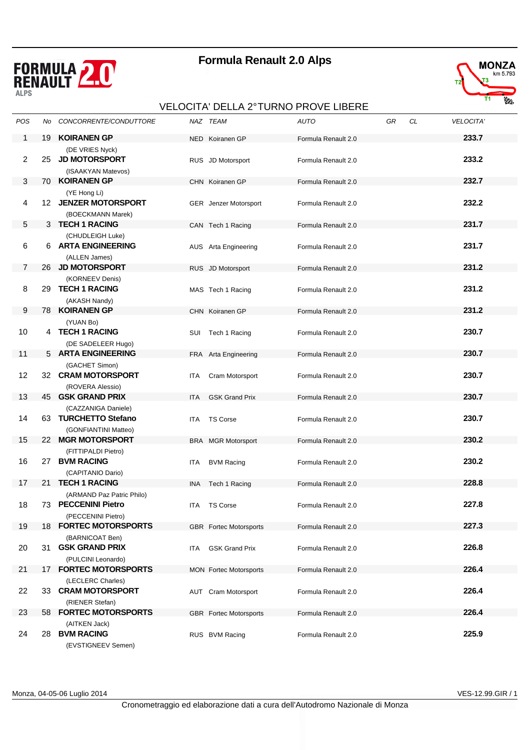



### VELOCITA' DELLA 2° TURNO PROVE LIBERE

| POS            | No. | CONCORRENTE/CONDUTTORE                                                  |            | NAZ TEAM                      | <b>AUTO</b>         | GR | CL | VELOCITA' |
|----------------|-----|-------------------------------------------------------------------------|------------|-------------------------------|---------------------|----|----|-----------|
| 1              | 19  | <b>KOIRANEN GP</b>                                                      |            | NED Koiranen GP               | Formula Renault 2.0 |    |    | 233.7     |
| 2              | 25  | (DE VRIES Nyck)<br><b>JD MOTORSPORT</b><br>(ISAAKYAN Matevos)           |            | RUS JD Motorsport             | Formula Renault 2.0 |    |    | 233.2     |
| 3              | 70  | <b>KOIRANEN GP</b>                                                      |            | CHN Koiranen GP               | Formula Renault 2.0 |    |    | 232.7     |
| 4              |     | (YE Hong Li)<br>12 JENZER MOTORSPORT<br>(BOECKMANN Marek)               |            | GER Jenzer Motorsport         | Formula Renault 2.0 |    |    | 232.2     |
| 5              |     | 3 TECH 1 RACING                                                         |            | CAN Tech 1 Racing             | Formula Renault 2.0 |    |    | 231.7     |
| 6              |     | (CHUDLEIGH Luke)<br>6 ARTA ENGINEERING<br>(ALLEN James)                 |            | AUS Arta Engineering          | Formula Renault 2.0 |    |    | 231.7     |
| $\overline{7}$ |     | 26 JD MOTORSPORT                                                        |            | RUS JD Motorsport             | Formula Renault 2.0 |    |    | 231.2     |
| 8              | 29  | (KORNEEV Denis)<br><b>TECH 1 RACING</b><br>(AKASH Nandy)                |            | MAS Tech 1 Racing             | Formula Renault 2.0 |    |    | 231.2     |
| 9              | 78. | <b>KOIRANEN GP</b>                                                      |            | CHN Koiranen GP               | Formula Renault 2.0 |    |    | 231.2     |
| 10             |     | (YUAN Bo)<br>4 TECH 1 RACING<br>(DE SADELEER Hugo)                      |            | SUI Tech 1 Racing             | Formula Renault 2.0 |    |    | 230.7     |
| 11             |     | 5 ARTA ENGINEERING                                                      |            | FRA Arta Engineering          | Formula Renault 2.0 |    |    | 230.7     |
| 12             | 32  | (GACHET Simon)<br><b>CRAM MOTORSPORT</b><br>(ROVERA Alessio)            | ITA        | Cram Motorsport               | Formula Renault 2.0 |    |    | 230.7     |
| 13             | 45. | <b>GSK GRAND PRIX</b>                                                   | <b>ITA</b> | <b>GSK Grand Prix</b>         | Formula Renault 2.0 |    |    | 230.7     |
| 14             | 63  | (CAZZANIGA Daniele)<br><b>TURCHETTO Stefano</b><br>(GONFIANTINI Matteo) | ITA.       | <b>TS Corse</b>               | Formula Renault 2.0 |    |    | 230.7     |
| 15             | 22  | <b>MGR MOTORSPORT</b>                                                   |            | <b>BRA</b> MGR Motorsport     | Formula Renault 2.0 |    |    | 230.2     |
| 16             |     | (FITTIPALDI Pietro)<br>27 BVM RACING<br>(CAPITANIO Dario)               | ITA.       | <b>BVM Racing</b>             | Formula Renault 2.0 |    |    | 230.2     |
| 17             |     | 21 TECH 1 RACING                                                        | ina        | Tech 1 Racing                 | Formula Renault 2.0 |    |    | 228.8     |
| 18             |     | (ARMAND Paz Patric Philo)<br>73 PECCENINI Pietro                        |            | ITA TS Corse                  | Formula Renault 2.0 |    |    | 227.8     |
| 19             |     | (PECCENINI Pietro)<br>18 FORTEC MOTORSPORTS                             |            | <b>GBR</b> Fortec Motorsports | Formula Renault 2.0 |    |    | 227.3     |
| 20             |     | (BARNICOAT Ben)<br>31 GSK GRAND PRIX                                    | ITA.       | <b>GSK Grand Prix</b>         | Formula Renault 2.0 |    |    | 226.8     |
|                |     | (PULCINI Leonardo)<br>17 FORTEC MOTORSPORTS                             |            |                               |                     |    |    | 226.4     |
| 21             |     | (LECLERC Charles)                                                       |            | <b>MON</b> Fortec Motorsports | Formula Renault 2.0 |    |    |           |
| 22             |     | 33 CRAM MOTORSPORT<br>(RIENER Stefan)                                   |            | <b>AUT</b> Cram Motorsport    | Formula Renault 2.0 |    |    | 226.4     |
| 23             |     | 58 FORTEC MOTORSPORTS                                                   |            | <b>GBR</b> Fortec Motorsports | Formula Renault 2.0 |    |    | 226.4     |
| 24             | 28  | (AITKEN Jack)<br><b>BVM RACING</b><br>(EVSTIGNEEV Semen)                |            | RUS BVM Racing                | Formula Renault 2.0 |    |    | 225.9     |

Monza, 04-05-06 Luglio 2014 VES-12.99.GIR / 1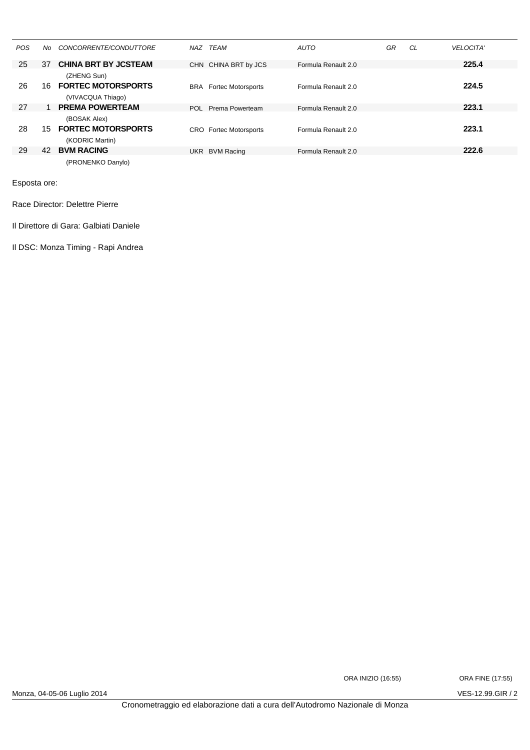| POS | No. | CONCORRENTE/CONDUTTORE                       | NAZ        | TEAM                      | <b>AUTO</b>         | GR | CL | <b>VELOCITA'</b> |
|-----|-----|----------------------------------------------|------------|---------------------------|---------------------|----|----|------------------|
| 25  | 37  | <b>CHINA BRT BY JCSTEAM</b>                  |            | CHN CHINA BRT by JCS      | Formula Renault 2.0 |    |    | 225.4            |
| 26  | 16  | (ZHENG Sun)<br><b>FORTEC MOTORSPORTS</b>     | <b>BRA</b> | <b>Fortec Motorsports</b> | Formula Renault 2.0 |    |    | 224.5            |
|     |     | (VIVACQUA Thiago)                            |            |                           |                     |    |    |                  |
| 27  |     | <b>PREMA POWERTEAM</b>                       | POL        | Prema Powerteam           | Formula Renault 2.0 |    |    | 223.1            |
|     |     | (BOSAK Alex)                                 |            |                           |                     |    |    |                  |
| 28  | 15  | <b>FORTEC MOTORSPORTS</b><br>(KODRIC Martin) | <b>CRO</b> | <b>Fortec Motorsports</b> | Formula Renault 2.0 |    |    | 223.1            |
| 29  | 42  | <b>BVM RACING</b>                            | UKR        | <b>BVM Racing</b>         | Formula Renault 2.0 |    |    | 222.6            |
|     |     | (PRONENKO Danylo)                            |            |                           |                     |    |    |                  |

Race Director: Delettre Pierre

Il Direttore di Gara: Galbiati Daniele

Il DSC: Monza Timing - Rapi Andrea

ORA INIZIO (16:55) ORA FINE (17:55)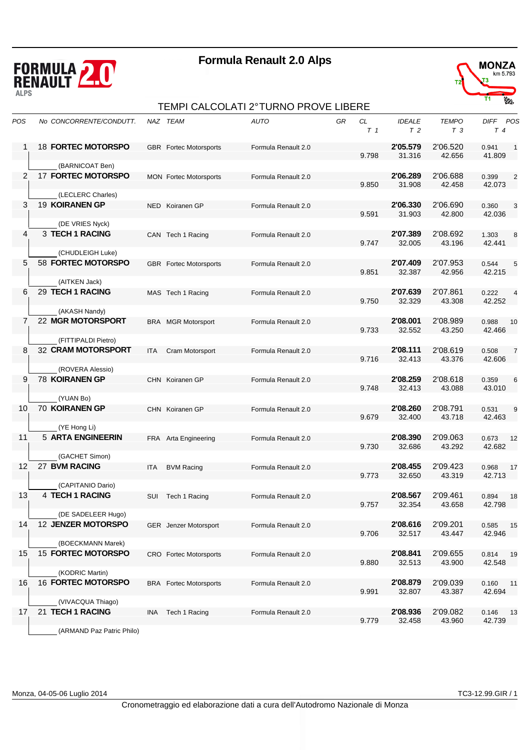



### TEMPI CALCOLATI 2° TURNO PROVE LIBERE

| POS            | No CONCORRENTE/CONDUTT.                   |            | NAZ TEAM                      | <b>AUTO</b>         | GR | CL<br>T <sub>1</sub> | <b>IDEALE</b><br>T <sub>2</sub> | <b>TEMPO</b><br>T <sub>3</sub> | DIFF POS<br>$T\,4$ |                            |
|----------------|-------------------------------------------|------------|-------------------------------|---------------------|----|----------------------|---------------------------------|--------------------------------|--------------------|----------------------------|
| 1              | <b>18 FORTEC MOTORSPO</b>                 |            | <b>GBR</b> Fortec Motorsports | Formula Renault 2.0 |    | 9.798                | 2'05.579<br>31.316              | 2'06.520<br>42.656             | 0.941<br>41.809    | $\overline{\phantom{0}}$ 1 |
|                | (BARNICOAT Ben)                           |            |                               |                     |    |                      |                                 |                                |                    |                            |
| 2              | <b>17 FORTEC MOTORSPO</b>                 |            | <b>MON</b> Fortec Motorsports | Formula Renault 2.0 |    | 9.850                | 2'06.289<br>31.908              | 2'06.688<br>42.458             | 0.399<br>42.073    | $\overline{2}$             |
|                | (LECLERC Charles)                         |            |                               |                     |    |                      |                                 |                                |                    |                            |
| 3              | 19 KOIRANEN GP                            |            | NED Koiranen GP               | Formula Renault 2.0 |    | 9.591                | 2'06.330<br>31.903              | 2'06.690<br>42.800             | 0.360<br>42.036    | 3                          |
|                | (DE VRIES Nyck)                           |            |                               |                     |    |                      |                                 |                                |                    |                            |
| 4              | 3 TECH 1 RACING                           |            | CAN Tech 1 Racing             | Formula Renault 2.0 |    | 9.747                | 2'07.389<br>32.005              | 2'08.692<br>43.196             | 1.303<br>42.441    | 8                          |
|                | (CHUDLEIGH Luke)                          |            |                               |                     |    |                      |                                 |                                |                    |                            |
| 5              | 58 FORTEC MOTORSPO                        |            | <b>GBR</b> Fortec Motorsports | Formula Renault 2.0 |    | 9.851                | 2'07.409<br>32.387              | 2'07.953<br>42.956             | 0.544<br>42.215    | 5                          |
|                | (AITKEN Jack)                             |            |                               |                     |    |                      |                                 |                                |                    |                            |
| 6              | 29 TECH 1 RACING                          |            | MAS Tech 1 Racing             | Formula Renault 2.0 |    | 9.750                | 2'07.639<br>32.329              | 2'07.861<br>43.308             | 0.222<br>42.252    | $\overline{4}$             |
|                | (AKASH Nandy)                             |            |                               |                     |    |                      |                                 |                                |                    |                            |
| $\overline{7}$ | 22 MGR MOTORSPORT                         |            | <b>BRA</b> MGR Motorsport     | Formula Renault 2.0 |    | 9.733                | 2'08.001<br>32.552              | 2'08.989<br>43.250             | 0.988<br>42.466    | 10                         |
| 8              | (FITTIPALDI Pietro)<br>32 CRAM MOTORSPORT |            |                               |                     |    |                      | 2'08.111                        | 2'08.619                       |                    |                            |
|                |                                           | <b>ITA</b> | Cram Motorsport               | Formula Renault 2.0 |    | 9.716                | 32.413                          | 43.376                         | 0.508<br>42.606    | $\overline{7}$             |
| 9              | (ROVERA Alessio)                          |            |                               |                     |    |                      |                                 |                                |                    |                            |
|                | <b>78 KOIRANEN GP</b><br>(YUAN Bo)        |            | CHN Koiranen GP               | Formula Renault 2.0 |    | 9.748                | 2'08.259<br>32.413              | 2'08.618<br>43.088             | 0.359<br>43.010    | 6                          |
| 10             | 70 KOIRANEN GP                            |            | CHN Koiranen GP               |                     |    |                      | 2'08.260                        | 2'08.791                       | 0.531              |                            |
|                | (YE Hong Li)                              |            |                               | Formula Renault 2.0 |    | 9.679                | 32.400                          | 43.718                         | 42.463             | 9                          |
| 11             | 5 ARTA ENGINEERIN                         |            |                               |                     |    |                      | 2'08.390                        | 2'09.063                       |                    |                            |
|                | (GACHET Simon)                            |            | FRA Arta Engineering          | Formula Renault 2.0 |    | 9.730                | 32.686                          | 43.292                         | 0.673<br>42.682    | 12                         |
| 12             | 27 BVM RACING                             | <b>ITA</b> | <b>BVM Racing</b>             | Formula Renault 2.0 |    |                      | 2'08.455                        | 2'09.423                       | 0.968              | 17                         |
|                | (CAPITANIO Dario)                         |            |                               |                     |    | 9.773                | 32.650                          | 43.319                         | 42.713             |                            |
| 13             | 4 TECH 1 RACING                           |            |                               | Formula Renault 2.0 |    |                      | 2'08.567                        | 2'09.461                       |                    |                            |
|                |                                           | SUI        | Tech 1 Racing                 |                     |    | 9.757                | 32.354                          | 43.658                         | 0.894<br>42.798    | 18                         |
|                | (DE SADELEER Hugo)                        |            |                               |                     |    |                      |                                 |                                |                    |                            |
| 14             | <b>12 JENZER MOTORSPO</b>                 |            | <b>GER</b> Jenzer Motorsport  | Formula Renault 2.0 |    | 9.706                | 2'08.616<br>32.517              | 2'09.201<br>43.447             | 0.585<br>42.946    | 15                         |
|                | (BOECKMANN Marek)                         |            |                               |                     |    |                      |                                 |                                |                    |                            |
| 15             | <b>15 FORTEC MOTORSPO</b>                 |            | CRO Fortec Motorsports        | Formula Renault 2.0 |    | 9.880                | 2'08.841<br>32.513              | 2'09.655<br>43.900             | 0.814<br>42.548    | 19                         |
|                | (KODRIC Martin)                           |            |                               |                     |    |                      |                                 |                                |                    |                            |
| 16             | <b>16 FORTEC MOTORSPO</b>                 |            | <b>BRA</b> Fortec Motorsports | Formula Renault 2.0 |    | 9.991                | 2'08.879<br>32.807              | 2'09.039<br>43.387             | 0.160<br>42.694    | 11                         |
|                | (VIVACQUA Thiago)                         |            |                               |                     |    |                      |                                 |                                |                    |                            |
| 17             | 21 TECH 1 RACING                          | INA.       | Tech 1 Racing                 | Formula Renault 2.0 |    | 9.779                | 2'08.936<br>32.458              | 2'09.082<br>43.960             | 0.146<br>42.739    | 13                         |
|                | (ARMAND Paz Patric Philo)                 |            |                               |                     |    |                      |                                 |                                |                    |                            |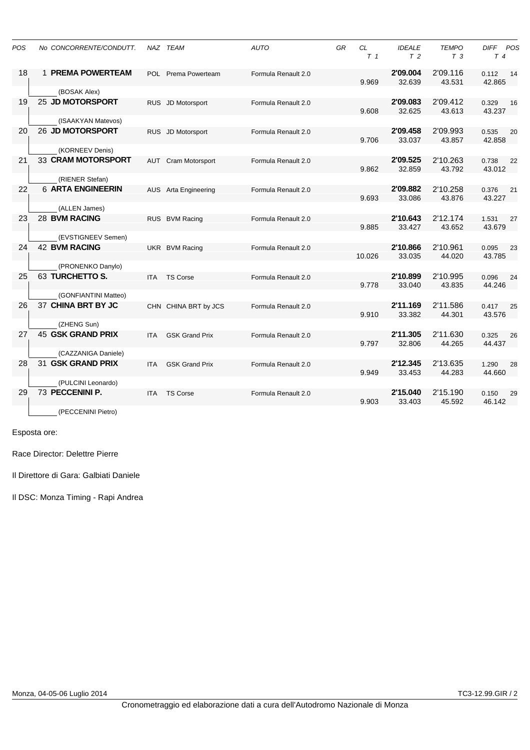| POS | No CONCORRENTE/CONDUTT.                     |            | NAZ TEAM                   | <b>AUTO</b>         | GR | CL<br>T <sub>1</sub> | <b>IDEALE</b><br>T <sub>2</sub> | <b>TEMPO</b><br>T <sub>3</sub> | DIFF<br>POS<br>T 4    |
|-----|---------------------------------------------|------------|----------------------------|---------------------|----|----------------------|---------------------------------|--------------------------------|-----------------------|
| 18  | <b>1 PREMA POWERTEAM</b>                    |            | POL Prema Powerteam        | Formula Renault 2.0 |    | 9.969                | 2'09.004<br>32.639              | 2'09.116<br>43.531             | 0.112<br>14<br>42.865 |
| 19  | (BOSAK Alex)<br>25 JD MOTORSPORT            |            | RUS JD Motorsport          | Formula Renault 2.0 |    | 9.608                | 2'09.083<br>32.625              | 2'09.412<br>43.613             | 0.329<br>16<br>43.237 |
|     | (ISAAKYAN Matevos)                          |            |                            |                     |    |                      |                                 |                                |                       |
| 20  | <b>26 JD MOTORSPORT</b>                     |            | RUS JD Motorsport          | Formula Renault 2.0 |    | 9.706                | 2'09.458<br>33.037              | 2'09.993<br>43.857             | 0.535<br>20<br>42.858 |
| 21  | (KORNEEV Denis)<br>33 CRAM MOTORSPORT       |            | <b>AUT</b> Cram Motorsport | Formula Renault 2.0 |    | 9.862                | 2'09.525<br>32.859              | 2'10.263<br>43.792             | 0.738<br>22<br>43.012 |
| 22  | (RIENER Stefan)<br><b>6 ARTA ENGINEERIN</b> |            | AUS Arta Engineering       | Formula Renault 2.0 |    |                      | 2'09.882                        | 2'10.258                       | 0.376<br>21           |
|     | (ALLEN James)                               |            |                            |                     |    | 9.693                | 33.086                          | 43.876                         | 43.227                |
| 23  | <b>28 BVM RACING</b>                        |            | RUS BVM Racing             | Formula Renault 2.0 |    | 9.885                | 2'10.643<br>33.427              | 2'12.174<br>43.652             | 1.531<br>27<br>43.679 |
|     | (EVSTIGNEEV Semen)                          |            |                            |                     |    |                      |                                 |                                |                       |
| 24  | <b>42 BVM RACING</b><br>(PRONENKO Danylo)   |            | UKR BVM Racing             | Formula Renault 2.0 |    | 10.026               | 2'10.866<br>33.035              | 2'10.961<br>44.020             | 0.095<br>23<br>43.785 |
| 25  | 63 TURCHETTO S.                             | ITA.       | <b>TS Corse</b>            | Formula Renault 2.0 |    | 9.778                | 2'10.899<br>33.040              | 2'10.995<br>43.835             | 0.096<br>24<br>44.246 |
|     | (GONFIANTINI Matteo)                        |            |                            |                     |    |                      |                                 |                                |                       |
| 26  | 37 CHINA BRT BY JC                          |            | CHN CHINA BRT by JCS       | Formula Renault 2.0 |    | 9.910                | 2'11.169<br>33.382              | 2'11.586<br>44.301             | 0.417<br>25<br>43.576 |
|     | (ZHENG Sun)                                 |            |                            |                     |    |                      |                                 |                                |                       |
| 27  | <b>45 GSK GRAND PRIX</b>                    | <b>ITA</b> | <b>GSK Grand Prix</b>      | Formula Renault 2.0 |    | 9.797                | 2'11.305<br>32.806              | 2'11.630<br>44.265             | 0.325<br>26<br>44.437 |
|     | (CAZZANIGA Daniele)                         |            |                            |                     |    |                      |                                 |                                |                       |
| 28  | 31 GSK GRAND PRIX                           | ITA        | <b>GSK Grand Prix</b>      | Formula Renault 2.0 |    | 9.949                | 2'12.345<br>33.453              | 2'13.635<br>44.283             | 1.290<br>28<br>44.660 |
|     | (PULCINI Leonardo)                          |            |                            |                     |    |                      |                                 |                                |                       |
| 29  | 73 PECCENINI P.                             | <b>ITA</b> | <b>TS Corse</b>            | Formula Renault 2.0 |    | 9.903                | 2'15.040<br>33.403              | 2'15.190<br>45.592             | 0.150<br>29<br>46.142 |
|     | (PECCENINI Pietro)                          |            |                            |                     |    |                      |                                 |                                |                       |

Race Director: Delettre Pierre

Il Direttore di Gara: Galbiati Daniele

Il DSC: Monza Timing - Rapi Andrea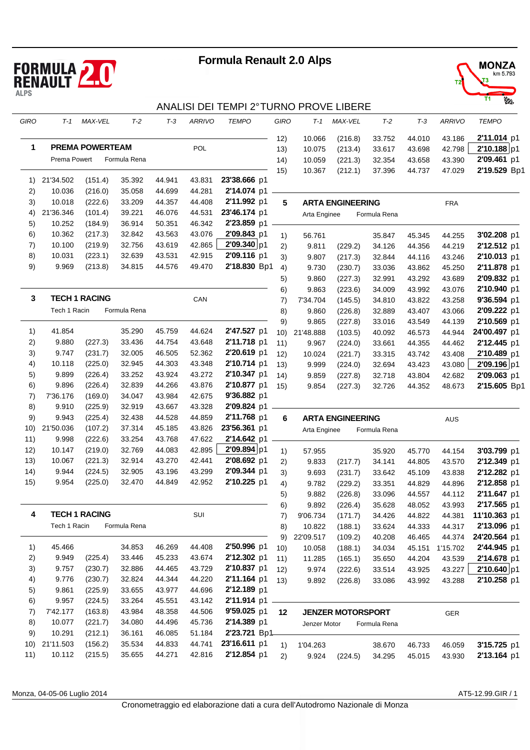



### ANALISI DEI TEMPI 2° TURNO PROVE LIBERE

| GIRO | $T-1$        | MAX-VEL                | $T-2$        | $T-3$  | <b>ARRIVO</b> | <b>TEMPO</b> | GIRO | T-1          | MAX-VEL                  | $T-2$        | $T-3$  | <b>ARRIVO</b> | <b>TEMPO</b> |
|------|--------------|------------------------|--------------|--------|---------------|--------------|------|--------------|--------------------------|--------------|--------|---------------|--------------|
|      |              |                        |              |        |               |              | 12)  | 10.066       | (216.8)                  | 33.752       | 44.010 | 43.186        | 2'11.014 p1  |
| 1    |              | <b>PREMA POWERTEAM</b> |              |        | POL           |              | 13)  | 10.075       | (213.4)                  | 33.617       | 43.698 | 42.798        | 2'10.188 p1  |
|      | Prema Powert |                        | Formula Rena |        |               |              | 14)  | 10.059       | (221.3)                  | 32.354       | 43.658 | 43.390        | 2'09.461 p1  |
|      |              |                        |              |        |               |              | 15)  | 10.367       | (212.1)                  | 37.396       | 44.737 | 47.029        | 2'19.529 Bp1 |
| 1)   | 21'34.502    | (151.4)                | 35.392       | 44.941 | 43.831        | 23'38.666 p1 |      |              |                          |              |        |               |              |
| 2)   | 10.036       | (216.0)                | 35.058       | 44.699 | 44.281        | 2'14.074 p1  |      |              |                          |              |        |               |              |
| 3)   | 10.018       | (222.6)                | 33.209       | 44.357 | 44.408        | 2'11.992 p1  | 5    |              | <b>ARTA ENGINEERING</b>  |              |        | <b>FRA</b>    |              |
| 4)   | 21'36.346    | (101.4)                | 39.221       | 46.076 | 44.531        | 23'46.174 p1 |      | Arta Enginee |                          | Formula Rena |        |               |              |
| 5)   | 10.252       | (184.9)                | 36.914       | 50.351 | 46.342        | 2'23.859 p1  |      |              |                          |              |        |               |              |
| 6)   | 10.362       | (217.3)                | 32.842       | 43.563 | 43.076        | 2'09.843 p1  | 1)   | 56.761       |                          | 35.847       | 45.345 | 44.255        | 3'02.208 p1  |
| 7)   | 10.100       | (219.9)                | 32.756       | 43.619 | 42.865        | 2'09.340 p1  | 2)   | 9.811        | (229.2)                  | 34.126       | 44.356 | 44.219        | 2'12.512 p1  |
| 8)   | 10.031       | (223.1)                | 32.639       | 43.531 | 42.915        | 2'09.116 p1  | 3)   | 9.807        | (217.3)                  | 32.844       | 44.116 | 43.246        | 2'10.013 p1  |
| 9)   | 9.969        | (213.8)                | 34.815       | 44.576 | 49.470        | 2'18.830 Bp1 | 4)   | 9.730        | (230.7)                  | 33.036       | 43.862 | 45.250        | 2'11.878 p1  |
|      |              |                        |              |        |               |              | 5)   | 9.860        | (227.3)                  | 32.991       | 43.292 | 43.689        | 2'09.832 p1  |
|      |              |                        |              |        |               |              | 6)   | 9.863        | (223.6)                  | 34.009       | 43.992 | 43.076        | 2'10.940 p1  |
| 3    |              | <b>TECH 1 RACING</b>   |              |        | CAN           |              | 7)   | 7'34.704     | (145.5)                  | 34.810       | 43.822 | 43.258        | 9'36.594 p1  |
|      | Tech 1 Racin |                        | Formula Rena |        |               |              | 8)   | 9.860        | (226.8)                  | 32.889       | 43.407 | 43.066        | 2'09.222 p1  |
|      |              |                        |              |        |               |              | 9)   | 9.865        | (227.8)                  | 33.016       | 43.549 | 44.139        | 2'10.569 p1  |
| 1)   | 41.854       |                        | 35.290       | 45.759 | 44.624        | 2'47.527 p1  | 10)  | 21'48.888    | (103.5)                  | 40.092       | 46.573 | 44.944        | 24'00.497 p1 |
| 2)   | 9.880        | (227.3)                | 33.436       | 44.754 | 43.648        | 2'11.718 p1  | 11)  | 9.967        | (224.0)                  | 33.661       | 44.355 | 44.462        | 2'12.445 p1  |
| 3)   | 9.747        | (231.7)                | 32.005       | 46.505 | 52.362        | 2'20.619 p1  | 12)  | 10.024       | (221.7)                  | 33.315       | 43.742 | 43.408        | 2'10.489 p1  |
| 4)   | 10.118       | (225.0)                | 32.945       | 44.303 | 43.348        | 2'10.714 p1  | 13)  | 9.999        | (224.0)                  | 32.694       | 43.423 | 43.080        | 2'09.196 p1  |
| 5)   | 9.899        | (226.4)                | 33.252       | 43.924 | 43.272        | 2'10.347 p1  | 14)  | 9.859        |                          | 32.718       | 43.804 | 42.682        | 2'09.063 p1  |
| 6)   | 9.896        | (226.4)                | 32.839       | 44.266 | 43.876        | 2'10.877 p1  | 15)  | 9.854        | (227.8)                  | 32.726       | 44.352 | 48.673        | 2'15.605 Bp1 |
| 7)   | 7'36.176     | (169.0)                | 34.047       | 43.984 | 42.675        | 9'36.882 p1  |      |              | (227.3)                  |              |        |               |              |
| 8)   | 9.910        | (225.9)                | 32.919       | 43.667 | 43.328        | 2'09.824 p1  |      |              |                          |              |        |               |              |
| 9)   | 9.943        | (225.4)                | 32.438       | 44.528 | 44.859        | 2'11.768 p1  |      |              |                          |              |        |               |              |
|      |              |                        |              |        |               | 23'56.361 p1 | 6    |              | <b>ARTA ENGINEERING</b>  |              |        | AUS           |              |
| 10)  | 21'50.036    | (107.2)                | 37.314       | 45.185 | 43.826        |              |      | Arta Enginee |                          | Formula Rena |        |               |              |
| 11)  | 9.998        | (222.6)                | 33.254       | 43.768 | 47.622        | 2'14.642 p1  |      |              |                          |              |        |               |              |
| 12)  | 10.147       | (219.0)                | 32.769       | 44.083 | 42.895        | 2'09.894 p1  | 1)   | 57.955       |                          | 35.920       | 45.770 | 44.154        | 3'03.799 p1  |
| 13)  | 10.067       | (221.3)                | 32.914       | 43.270 | 42.441        | 2'08.692 p1  | 2)   | 9.833        | (217.7)                  | 34.141       | 44.805 | 43.570        | 2'12.349 p1  |
| (14) | 9.944        | (224.5)                | 32.905       | 43.196 | 43.299        | 2'09.344 p1  | 3)   | 9.693        | (231.7)                  | 33.642       | 45.109 | 43.838        | 2'12.282 p1  |
| 15)  | 9.954        | (225.0)                | 32.470       | 44.849 | 42.952        | 2'10.225 p1  | 4)   | 9.782        | (229.2)                  | 33.351       | 44.829 | 44.896        | 2'12.858 p1  |
|      |              |                        |              |        |               |              | 5)   | 9.882        | (226.8)                  | 33.096       | 44.557 | 44.112        | 2'11.647 p1  |
|      |              |                        |              |        |               |              | 6)   | 9.892        | (226.4)                  | 35.628       | 48.052 | 43.993        | 2'17.565 p1  |
| 4    |              | <b>TECH 1 RACING</b>   |              |        | SUI           |              | 7)   | 9'06.734     | (171.7)                  | 34.426       | 44.822 | 44.381        | 11'10.363 p1 |
|      | Tech 1 Racin |                        | Formula Rena |        |               |              | 8)   | 10.822       | (188.1)                  | 33.624       | 44.333 | 44.317        | 2'13.096 p1  |
|      |              |                        |              |        |               |              | 9)   | 22'09.517    | (109.2)                  | 40.208       | 46.465 | 44.374        | 24'20.564 p1 |
| 1)   | 45.466       |                        | 34.853       | 46.269 | 44.408        | 2'50.996 p1  | 10)  | 10.058       | (188.1)                  | 34.034       | 45.151 | 1'15.702      | 2'44.945 p1  |
| 2)   | 9.949        | (225.4)                | 33.446       | 45.233 | 43.674        | 2'12.302 p1  | 11)  | 11.285       | (165.1)                  | 35.650       | 44.204 | 43.539        | 2'14.678 p1  |
| 3)   | 9.757        | (230.7)                | 32.886       | 44.465 | 43.729        | 2'10.837 p1  | 12)  | 9.974        | (222.6)                  | 33.514       | 43.925 | 43.227        | 2'10.640 p1  |
| 4)   | 9.776        | (230.7)                | 32.824       | 44.344 | 44.220        | 2'11.164 p1  | 13)  | 9.892        | (226.8)                  | 33.086       | 43.992 | 43.288        | 2'10.258 p1  |
| 5)   | 9.861        | (225.9)                | 33.655       | 43.977 | 44.696        | 2'12.189 p1  |      |              |                          |              |        |               |              |
| 6)   | 9.957        | (224.5)                | 33.264       | 45.551 | 43.142        | 2'11.914 p1  |      |              |                          |              |        |               |              |
| 7)   | 7'42.177     | (163.8)                | 43.984       | 48.358 | 44.506        | 9'59.025 p1  | 12   |              | <b>JENZER MOTORSPORT</b> |              |        | GER           |              |
| 8)   | 10.077       | (221.7)                | 34.080       | 44.496 | 45.736        | 2'14.389 p1  |      | Jenzer Motor |                          | Formula Rena |        |               |              |
| 9)   | 10.291       | (212.1)                | 36.161       | 46.085 | 51.184        | 2'23.721 Bp1 |      |              |                          |              |        |               |              |
| 10)  | 21'11.503    | (156.2)                | 35.534       | 44.833 | 44.741        | 23'16.611 p1 | 1)   | 1'04.263     |                          | 38.670       | 46.733 | 46.059        | 3'15.725 p1  |
| 11)  | 10.112       | (215.5)                | 35.655       | 44.271 | 42.816        | 2'12.854 p1  | 2)   | 9.924        | (224.5)                  | 34.295       | 45.015 | 43.930        | 2'13.164 p1  |
|      |              |                        |              |        |               |              |      |              |                          |              |        |               |              |

Monza, 04-05-06 Luglio 2014 AT5-12.99.GIR / 1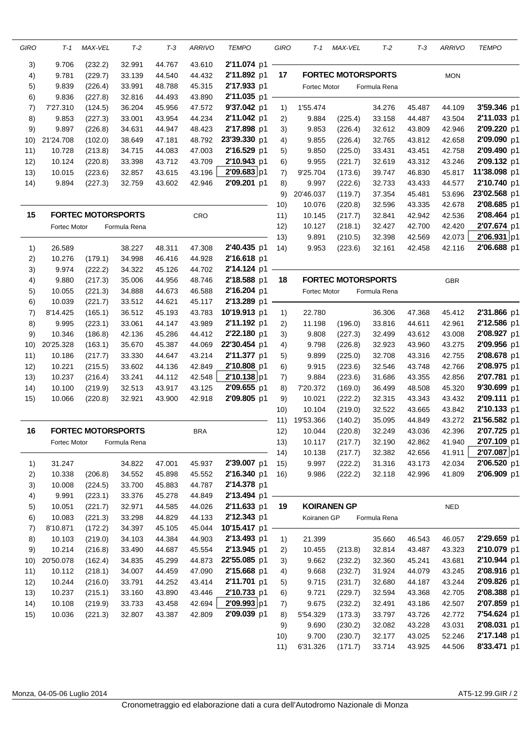| GIRO | T-1                 | MAX-VEL                   | $T-2$        | $T-3$  | ARRIVO     | <b>TEMPO</b> | GIRO | T-1          | MAX-VEL                   | $T-2$        | $T-3$  | <b>ARRIVO</b> | <b>TEMPO</b> |
|------|---------------------|---------------------------|--------------|--------|------------|--------------|------|--------------|---------------------------|--------------|--------|---------------|--------------|
| 3)   | 9.706               | (232.2)                   | 32.991       | 44.767 | 43.610     | 2'11.074 p1  |      |              |                           |              |        |               |              |
| 4)   | 9.781               | (229.7)                   | 33.139       | 44.540 | 44.432     | 2'11.892 p1  | 17   |              | <b>FORTEC MOTORSPORTS</b> |              |        | <b>MON</b>    |              |
| 5)   | 9.839               | (226.4)                   | 33.991       | 48.788 | 45.315     | 2'17.933 p1  |      | Fortec Motor |                           | Formula Rena |        |               |              |
| 6)   | 9.836               | (227.8)                   | 32.816       | 44.493 | 43.890     | 2'11.035 p1  |      |              |                           |              |        |               |              |
| 7)   | 7'27.310            | (124.5)                   | 36.204       | 45.956 | 47.572     | 9'37.042 p1  | 1)   | 1'55.474     |                           | 34.276       | 45.487 | 44.109        | 3'59.346 p1  |
| 8)   | 9.853               | (227.3)                   | 33.001       | 43.954 | 44.234     | 2'11.042 p1  | 2)   | 9.884        | (225.4)                   | 33.158       | 44.487 | 43.504        | 2'11.033 p1  |
| 9)   | 9.897               | (226.8)                   | 34.631       | 44.947 | 48.423     | 2'17.898 p1  | 3)   | 9.853        | (226.4)                   | 32.612       | 43.809 | 42.946        | 2'09.220 p1  |
| 10)  | 21'24.708           | (102.0)                   | 38.649       | 47.181 | 48.792     | 23'39.330 p1 | 4)   | 9.855        | (226.4)                   | 32.765       | 43.812 | 42.658        | 2'09.090 p1  |
| 11)  | 10.728              | (213.8)                   | 34.715       | 44.083 | 47.003     | 2'16.529 p1  | 5)   | 9.850        | (225.0)                   | 33.431       | 43.451 | 42.758        | 2'09.490 p1  |
| 12)  | 10.124              | (220.8)                   | 33.398       | 43.712 | 43.709     | 2'10.943 p1  | 6)   | 9.955        | (221.7)                   | 32.619       | 43.312 | 43.246        | 2'09.132 p1  |
| 13)  | 10.015              | (223.6)                   | 32.857       | 43.615 | 43.196     | 2'09.683 p1  | 7)   | 9'25.704     | (173.6)                   | 39.747       | 46.830 | 45.817        | 11'38.098 p1 |
| 14)  | 9.894               | (227.3)                   | 32.759       | 43.602 | 42.946     | 2'09.201 p1  | 8)   | 9.997        | (222.6)                   | 32.733       | 43.433 | 44.577        | 2'10.740 p1  |
|      |                     |                           |              |        |            |              | 9)   | 20'46.037    | (119.7)                   | 37.354       | 45.481 | 53.696        | 23'02.568 p1 |
|      |                     |                           |              |        |            |              | 10)  | 10.076       | (220.8)                   | 32.596       | 43.335 | 42.678        | 2'08.685 p1  |
| 15   |                     | <b>FORTEC MOTORSPORTS</b> |              |        | CRO        |              | 11)  | 10.145       | (217.7)                   | 32.841       | 42.942 | 42.536        | 2'08.464 p1  |
|      | Fortec Motor        |                           | Formula Rena |        |            |              | 12)  | 10.127       | (218.1)                   | 32.427       | 42.700 | 42.420        | 2'07.674 p1  |
|      |                     |                           |              |        |            |              | 13)  | 9.891        | (210.5)                   | 32.398       | 42.569 | 42.073        | 2'06.931 p1  |
| 1)   | 26.589              |                           | 38.227       | 48.311 | 47.308     | 2'40.435 p1  | (14) | 9.953        | (223.6)                   | 32.161       | 42.458 | 42.116        | 2'06.688 p1  |
| 2)   | 10.276              | (179.1)                   | 34.998       | 46.416 | 44.928     | 2'16.618 p1  |      |              |                           |              |        |               |              |
| 3)   | 9.974               | (222.2)                   | 34.322       | 45.126 | 44.702     | 2'14.124 p1  |      |              |                           |              |        |               |              |
| 4)   | 9.880               | (217.3)                   | 35.006       | 44.956 | 48.746     | 2'18.588 p1  | 18   |              | <b>FORTEC MOTORSPORTS</b> |              |        | <b>GBR</b>    |              |
| 5)   | 10.055              | (221.3)                   | 34.888       | 44.673 | 46.588     | 2'16.204 p1  |      | Fortec Motor |                           | Formula Rena |        |               |              |
| 6)   | 10.039              | (221.7)                   | 33.512       | 44.621 | 45.117     | 2'13.289 p1  |      |              |                           |              |        |               |              |
| 7)   | 8'14.425            | (165.1)                   | 36.512       | 45.193 | 43.783     | 10'19.913 p1 | 1)   | 22.780       |                           | 36.306       | 47.368 | 45.412        | 2'31.866 p1  |
| 8)   | 9.995               | (223.1)                   | 33.061       | 44.147 | 43.989     | 2'11.192 p1  | 2)   | 11.198       | (196.0)                   | 33.816       | 44.611 | 42.961        | 2'12.586 p1  |
| 9)   | 10.346              | (186.8)                   | 42.136       | 45.286 | 44.412     | 2'22.180 p1  | 3)   | 9.808        | (227.3)                   | 32.499       | 43.612 | 43.008        | 2'08.927 p1  |
| 10)  | 20'25.328           | (163.1)                   | 35.670       | 45.387 | 44.069     | 22'30.454 p1 | 4)   | 9.798        | (226.8)                   | 32.923       | 43.960 | 43.275        | 2'09.956 p1  |
| 11)  | 10.186              | (217.7)                   | 33.330       | 44.647 | 43.214     | 2'11.377 p1  | 5)   | 9.899        | (225.0)                   | 32.708       | 43.316 | 42.755        | 2'08.678 p1  |
| 12)  | 10.221              | (215.5)                   | 33.602       | 44.136 | 42.849     | 2'10.808 p1  | 6)   | 9.915        | (223.6)                   | 32.546       | 43.748 | 42.766        | 2'08.975 p1  |
|      |                     |                           |              |        |            | 2'10.138 p1  |      |              |                           |              |        |               | 2'07.781 p1  |
| 13)  | 10.237              | (216.4)                   | 33.241       | 44.112 | 42.548     |              | 7)   | 9.884        | (223.6)                   | 31.686       | 43.355 | 42.856        | 9'30.699 p1  |
| 14)  | 10.100              | (219.9)                   | 32.513       | 43.917 | 43.125     | 2'09.655 p1  | 8)   | 7'20.372     | (169.0)                   | 36.499       | 48.508 | 45.320        |              |
| 15)  | 10.066              | (220.8)                   | 32.921       | 43.900 | 42.918     | 2'09.805 p1  | 9)   | 10.021       | (222.2)                   | 32.315       | 43.343 | 43.432        | 2'09.111 p1  |
|      |                     |                           |              |        |            |              | 10)  | 10.104       | (219.0)                   | 32.522       | 43.665 | 43.842        | 2'10.133 p1  |
|      |                     |                           |              |        |            |              | 11)  | 19'53.366    | (140.2)                   | 35.095       | 44.849 | 43.272        | 21'56.582 p1 |
| 16   |                     | <b>FORTEC MOTORSPORTS</b> |              |        | <b>BRA</b> |              | 12)  | 10.044       | (220.8)                   | 32.249       | 43.036 | 42.396        | 2'07.725 p1  |
|      | <b>Fortec Motor</b> |                           | Formula Rena |        |            |              | 13)  | 10.117       | (217.7)                   | 32.190       | 42.862 | 41.940        | 2'07.109 p1  |
|      |                     |                           |              |        |            |              | 14)  | 10.138       | (217.7)                   | 32.382       | 42.656 | 41.911        | 2'07.087 p1  |
| 1)   | 31.247              |                           | 34.822       | 47.001 | 45.937     | 2'39.007 p1  | 15)  | 9.997        | (222.2)                   | 31.316       | 43.173 | 42.034        | 2'06.520 p1  |
| 2)   | 10.338              | (206.8)                   | 34.552       | 45.898 | 45.552     | 2'16.340 p1  | 16)  | 9.986        | (222.2)                   | 32.118       | 42.996 | 41.809        | 2'06.909 p1  |
| 3)   | 10.008              | (224.5)                   | 33.700       | 45.883 | 44.787     | 2'14.378 p1  |      |              |                           |              |        |               |              |
| 4)   | 9.991               | (223.1)                   | 33.376       | 45.278 | 44.849     | 2'13.494 p1  |      |              |                           |              |        |               |              |
| 5)   | 10.051              | (221.7)                   | 32.971       | 44.585 | 44.026     | 2'11.633 p1  | 19   |              | <b>KOIRANEN GP</b>        |              |        | <b>NED</b>    |              |
| 6)   | 10.083              | (221.3)                   | 33.298       | 44.829 | 44.133     | 2'12.343 p1  |      | Koiranen GP  |                           | Formula Rena |        |               |              |
| 7)   | 8'10.871            | (172.2)                   | 34.397       | 45.105 | 45.044     | 10'15.417 p1 |      |              |                           |              |        |               |              |
| 8)   | 10.103              | (219.0)                   | 34.103       | 44.384 | 44.903     | 2'13.493 p1  | 1)   | 21.399       |                           | 35.660       | 46.543 | 46.057        | 2'29.659 p1  |
| 9)   | 10.214              | (216.8)                   | 33.490       | 44.687 | 45.554     | 2'13.945 p1  | 2)   | 10.455       | (213.8)                   | 32.814       | 43.487 | 43.323        | 2'10.079 p1  |
| 10)  | 20'50.078           | (162.4)                   | 34.835       | 45.299 | 44.873     | 22'55.085 p1 | 3)   | 9.662        | (232.2)                   | 32.360       | 45.241 | 43.681        | 2'10.944 p1  |
| 11)  | 10.112              | (218.1)                   | 34.007       | 44.459 | 47.090     | 2'15.668 p1  | 4)   | 9.668        | (232.7)                   | 31.924       | 44.079 | 43.245        | 2'08.916 p1  |
| 12)  | 10.244              | (216.0)                   | 33.791       | 44.252 | 43.414     | 2'11.701 p1  | 5)   | 9.715        | (231.7)                   | 32.680       | 44.187 | 43.244        | 2'09.826 p1  |
| 13)  | 10.237              | (215.1)                   | 33.160       | 43.890 | 43.446     | 2'10.733 p1  | 6)   | 9.721        | (229.7)                   | 32.594       | 43.368 | 42.705        | 2'08.388 p1  |
| 14)  | 10.108              | (219.9)                   | 33.733       | 43.458 | 42.694     | 2'09.993 p1  | 7)   | 9.675        | (232.2)                   | 32.491       | 43.186 | 42.507        | 2'07.859 p1  |
| 15)  | 10.036              | (221.3)                   | 32.807       | 43.387 | 42.809     | 2'09.039 p1  | 8)   | 5'54.329     | (173.3)                   | 33.797       | 43.726 | 42.772        | 7'54.624 p1  |
|      |                     |                           |              |        |            |              | 9)   | 9.690        | (230.2)                   | 32.082       | 43.228 | 43.031        | 2'08.031 p1  |
|      |                     |                           |              |        |            |              | 10)  | 9.700        | (230.7)                   | 32.177       | 43.025 | 52.246        | 2'17.148 p1  |
|      |                     |                           |              |        |            |              | 11)  | 6'31.326     | (171.7)                   | 33.714       | 43.925 | 44.506        | 8'33.471 p1  |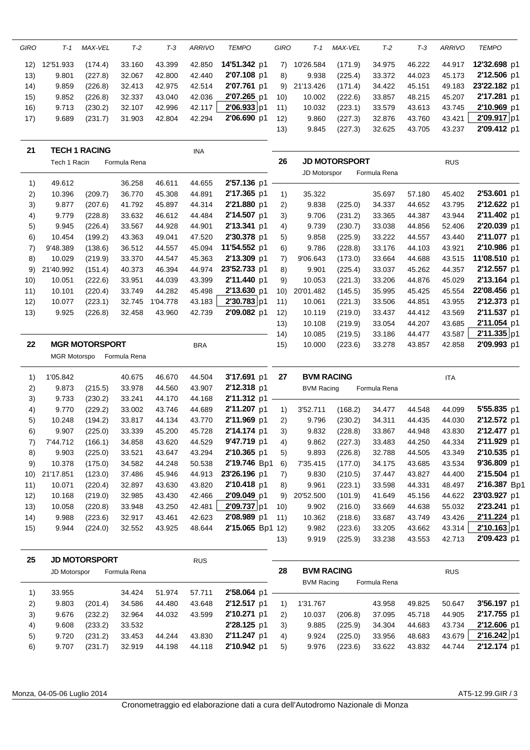| GIRO | T-1                 | MAX-VEL               | $T-2$        | $T-3$            | <b>ARRIVO</b>    | <b>TEMPO</b>               | GIRO     | T-1                                    | <b>MAX-VEL</b>       | $T-2$            | $T-3$            | <b>ARRIVO</b>    | <b>TEMPO</b>               |
|------|---------------------|-----------------------|--------------|------------------|------------------|----------------------------|----------|----------------------------------------|----------------------|------------------|------------------|------------------|----------------------------|
| 12)  | 12'51.933           | (174.4)               | 33.160       | 43.399           | 42.850           | 14'51.342 p1               | 7)       | 10'26.584                              | (171.9)              | 34.975           | 46.222           | 44.917           | 12'32.698 p1               |
| 13)  | 9.801               | (227.8)               | 32.067       | 42.800           | 42.440           | 2'07.108 p1                | 8)       | 9.938                                  | (225.4)              | 33.372           | 44.023           | 45.173           | 2'12.506 p1                |
| 14)  | 9.859               | (226.8)               | 32.413       | 42.975           | 42.514           | 2'07.761 p1                | 9)       | 21'13.426                              | (171.4)              | 34.422           | 45.151           | 49.183           | 23'22.182 p1               |
| 15)  | 9.852               | (226.8)               | 32.337       | 43.040           | 42.036           | 2'07.265 p1                | 10)      | 10.002                                 | (222.6)              | 33.857           | 48.215           | 45.207           | 2'17.281 p1                |
| 16)  | 9.713               | (230.2)               | 32.107       | 42.996           | 42.117           | 2'06.933 p1                | 11)      | 10.032                                 | (223.1)              | 33.579           | 43.613           | 43.745           | 2'10.969 p1                |
| 17)  | 9.689               | (231.7)               | 31.903       | 42.804           | 42.294           | 2'06.690 p1                | 12)      | 9.860                                  | (227.3)              | 32.876           | 43.760           | 43.421           | 2'09.917 p1                |
|      |                     |                       |              |                  |                  |                            | 13)      | 9.845                                  | (227.3)              | 32.625           | 43.705           | 43.237           | 2'09.412 p1                |
| 21   |                     | <b>TECH 1 RACING</b>  |              |                  | <b>INA</b>       |                            |          |                                        |                      |                  |                  |                  |                            |
|      | Tech 1 Racin        |                       | Formula Rena |                  |                  |                            | 26       |                                        | <b>JD MOTORSPORT</b> |                  |                  | <b>RUS</b>       |                            |
|      |                     |                       |              |                  |                  |                            |          | JD Motorspor                           |                      | Formula Rena     |                  |                  |                            |
| 1)   | 49.612              |                       | 36.258       | 46.611           | 44.655           | 2'57.136 p1                |          |                                        |                      |                  |                  |                  |                            |
| 2)   | 10.396              | (209.7)               | 36.770       | 45.308           | 44.891           | 2'17.365 p1                | 1)       | 35.322                                 |                      | 35.697           | 57.180           | 45.402           | 2'53.601 p1                |
| 3)   | 9.877               | (207.6)               | 41.792       | 45.897           | 44.314           | 2'21.880 p1                | 2)       | 9.838                                  | (225.0)              | 34.337           | 44.652           | 43.795           | 2'12.622 p1                |
| 4)   | 9.779               | (228.8)               | 33.632       | 46.612           | 44.484           | 2'14.507 p1                | 3)       | 9.706                                  | (231.2)              | 33.365           | 44.387           | 43.944           | 2'11.402 p1                |
| 5)   | 9.945               | (226.4)               | 33.567       | 44.928           | 44.901           | 2'13.341 p1                | 4)       | 9.739                                  | (230.7)              | 33.038           | 44.856           | 52.406           | 2'20.039 p1                |
| 6)   | 10.454              | (199.2)               | 43.363       | 49.041           | 47.520           | 2'30.378 p1                | 5)       | 9.858                                  | (225.9)              | 33.222           | 44.557           | 43.440           | 2'11.077 p1                |
| 7)   | 9'48.389            | (138.6)               | 36.512       | 44.557           | 45.094           | 11'54.552 p1               | 6)       | 9.786                                  | (228.8)              | 33.176           | 44.103           | 43.921           | 2'10.986 p1                |
| 8)   | 10.029              | (219.9)               | 33.370       | 44.547           | 45.363           | 2'13.309 p1                | 7)       | 9'06.643                               | (173.0)              | 33.664           | 44.688           | 43.515           | 11'08.510 p1               |
| 9)   | 21'40.992           | (151.4)               | 40.373       | 46.394           | 44.974           | 23'52.733 p1               | 8)       | 9.901                                  | (225.4)              | 33.037           | 45.262           | 44.357           | 2'12.557 p1                |
| 10)  | 10.051              | (222.6)               | 33.951       | 44.039           | 43.399           | 2'11.440 p1                | 9)       | 10.053                                 | (221.3)              | 33.206           | 44.876           | 45.029           | 2'13.164 p1                |
| 11)  | 10.101              | (220.4)               | 33.749       | 44.282           | 45.498           | 2'13.630 p1                | 10)      | 20'01.482                              | (145.5)              | 35.995           | 45.425           | 45.554           | 22'08.456 p1               |
| 12)  | 10.077              | (223.1)               | 32.745       | 1'04.778         | 43.183           | 2'30.783 p1                | 11)      | 10.061                                 | (221.3)              | 33.506           | 44.851           | 43.955           | 2'12.373 p1                |
| 13)  | 9.925               | (226.8)               | 32.458       | 43.960           | 42.739           | 2'09.082 p1                | 12)      | 10.119                                 | (219.0)              | 33.437           | 44.412           | 43.569           | 2'11.537 p1                |
|      |                     |                       |              |                  |                  |                            | 13)      | 10.108                                 | (219.9)              | 33.054           | 44.207           | 43.685           | 2'11.054 p1                |
|      |                     |                       |              |                  |                  |                            | 14)      | 10.085                                 | (219.5)              | 33.186           | 44.477           | 43.587           | 2'11.335 p1                |
| 22   |                     | <b>MGR MOTORSPORT</b> |              |                  | <b>BRA</b>       |                            | 15)      | 10.000                                 | (223.6)              | 33.278           | 43.857           | 42.858           | 2'09.993 p1                |
|      | <b>MGR Motorspo</b> |                       | Formula Rena |                  |                  |                            |          |                                        |                      |                  |                  |                  |                            |
|      |                     |                       |              |                  |                  |                            |          |                                        |                      |                  |                  |                  |                            |
|      | 1'05.842            |                       |              |                  |                  |                            | 27       | <b>BVM RACING</b>                      |                      |                  |                  |                  |                            |
| 1)   |                     |                       | 40.675       | 46.670<br>44.560 | 44.504           | 3'17.691 p1<br>2'12.318 p1 |          |                                        |                      |                  |                  | <b>ITA</b>       |                            |
| 2)   | 9.873               | (215.5)               | 33.978       | 44.170           | 43.907<br>44.168 | 2'11.312 p1                |          | <b>BVM Racing</b>                      |                      | Formula Rena     |                  |                  |                            |
| 3)   | 9.733               | (230.2)               | 33.241       |                  |                  |                            |          |                                        |                      |                  |                  |                  |                            |
| 4)   | 9.770               | (229.2)               | 33.002       | 43.746           | 44.689           | 2'11.207 p1                | 1)       | 3'52.711                               | (168.2)              | 34.477           | 44.548           | 44.099           | 5'55.835 p1                |
| 5)   | 10.248              | (194.2)               | 33.817       | 44.134           | 43.770           | 2'11.969 p1                | 2)<br>3) | 9.796                                  | (230.2)              | 34.311           | 44.435           | 44.030           | 2'12.572 p1                |
| 6)   | 9.907               | (225.0)               | 33.339       | 45.200           | 45.728           | 2'14.174 p1                |          | 9.832                                  | (228.8)              | 33.867           | 44.948           | 43.830           | 2'12.477 p1                |
| 7)   | 7'44.712            | (166.1)               | 34.858       | 43.620           | 44.529           | 9'47.719 p1                | 4)       | 9.862                                  | (227.3)              | 33.483           | 44.250           | 44.334           | 2'11.929 p1                |
| 8)   | 9.903               | (225.0)               | 33.521       | 43.647           | 43.294           | 2'10.365 p1                | 5)       | 9.893                                  | (226.8)              | 32.788           | 44.505           | 43.349<br>43.534 | 2'10.535 p1                |
| 9)   | 10.378              | (175.0)               | 34.582       | 44.248           | 50.538           | 2'19.746 Bp1               | 6)       | 7'35.415                               | (177.0)              | 34.175           | 43.685           |                  | 9'36.809 p1                |
| 10)  | 21'17.851           | (123.0)               | 37.486       | 45.946           | 44.913           | 23'26.196 p1               | 7)       | 9.830                                  | (210.5)              | 37.447           | 43.827           | 44.400           | 2'15.504 p1                |
| 11)  | 10.071              | (220.4)               | 32.897       | 43.630           | 43.820           | 2'10.418 p1                | 8)       | 9.961                                  | (223.1)              | 33.598           | 44.331           | 48.497           | 2'16.387 Bp1               |
| 12)  | 10.168              | (219.0)               | 32.985       | 43.430           | 42.466           | 2'09.049 p1                | 9)       | 20'52.500                              | (101.9)              | 41.649           | 45.156           | 44.622           | 23'03.927 p1               |
| 13)  | 10.058              | (220.8)               | 33.948       | 43.250           | 42.481           | 2'09.737 p1                | 10)      | 9.902                                  | (216.0)              | 33.669           | 44.638           | 55.032           | 2'23.241 p1                |
| 14)  | 9.988               | (223.6)               | 32.917       | 43.461           | 42.623           | 2'08.989 p1                | 11)      | 10.362                                 | (218.6)              | 33.687           | 43.749           | 43.426           | 2'11.224 p1                |
| 15)  | 9.944               | (224.0)               | 32.552       | 43.925           | 48.644           | 2'15.065 Bp1 12)           | 13)      | 9.982<br>9.919                         | (223.6)<br>(225.9)   | 33.205<br>33.238 | 43.662<br>43.553 | 43.314<br>42.713 | 2'10.163 p1<br>2'09.423 p1 |
|      |                     |                       |              |                  |                  |                            |          |                                        |                      |                  |                  |                  |                            |
| 25   |                     | <b>JD MOTORSPORT</b>  |              |                  | <b>RUS</b>       |                            |          |                                        |                      |                  |                  |                  |                            |
|      | JD Motorspor        |                       | Formula Rena |                  |                  |                            | 28       | <b>BVM RACING</b><br><b>BVM Racing</b> |                      | Formula Rena     |                  | <b>RUS</b>       |                            |
| 1)   | 33.955              |                       | 34.424       | 51.974           | 57.711           | 2'58.064 p1                |          |                                        |                      |                  |                  |                  |                            |
| 2)   | 9.803               | (201.4)               | 34.586       | 44.480           | 43.648           | 2'12.517 p1                | 1)       | 1'31.767                               |                      | 43.958           | 49.825           | 50.647           | 3'56.197 p1                |
| 3)   | 9.676               | (232.2)               | 32.964       | 44.032           | 43.599           | 2'10.271 p1                | 2)       | 10.037                                 | (206.8)              | 37.095           | 45.718           | 44.905           | 2'17.755 p1                |
| 4)   | 9.608               | (233.2)               | 33.532       |                  |                  | 2'28.125 p1                | 3)       | 9.885                                  | (225.9)              | 34.304           | 44.683           | 43.734           | 2'12.606 p1                |

6) 9.707 (231.7) 32.919 44.198 44.118 **2'10.942** p1

5) 9.976 (223.6) 33.622 43.832 44.744 **2'12.174** p1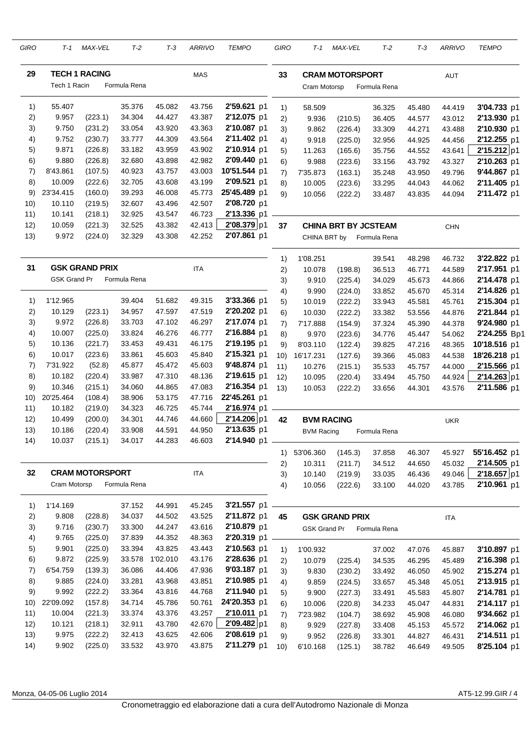| GIRO | T-1                 | MAX-VEL                | T-2          | $T-3$    | <b>ARRIVO</b> | <b>TEMPO</b> | GIRO | T-1                 | MAX-VEL                     | $T-2$        | $T-3$  | <b>ARRIVO</b> | <b>TEMPO</b> |
|------|---------------------|------------------------|--------------|----------|---------------|--------------|------|---------------------|-----------------------------|--------------|--------|---------------|--------------|
| 29   |                     | <b>TECH 1 RACING</b>   |              |          | <b>MAS</b>    |              | 33   |                     | <b>CRAM MOTORSPORT</b>      |              |        | <b>AUT</b>    |              |
|      | Tech 1 Racin        |                        | Formula Rena |          |               |              |      | Cram Motorsp        |                             | Formula Rena |        |               |              |
| 1)   | 55.407              |                        | 35.376       | 45.082   | 43.756        | 2'59.621 p1  | 1)   | 58.509              |                             | 36.325       | 45.480 | 44.419        | 3'04.733 p1  |
| 2)   | 9.957               | (223.1)                | 34.304       | 44.427   | 43.387        | 2'12.075 p1  | 2)   | 9.936               | (210.5)                     | 36.405       | 44.577 | 43.012        | 2'13.930 p1  |
| 3)   | 9.750               | (231.2)                | 33.054       | 43.920   | 43.363        | 2'10.087 p1  | 3)   | 9.862               | (226.4)                     | 33.309       | 44.271 | 43.488        | 2'10.930 p1  |
| 4)   | 9.752               | (230.7)                | 33.777       | 44.309   | 43.564        | 2'11.402 p1  | 4)   | 9.918               | (225.0)                     | 32.956       | 44.925 | 44.456        | 2'12.255 p1  |
| 5)   | 9.871               | (226.8)                | 33.182       | 43.959   | 43.902        | 2'10.914 p1  | 5)   | 11.263              | (165.6)                     | 35.756       | 44.552 | 43.641        | 2'15.212 p1  |
| 6)   | 9.880               | (226.8)                | 32.680       | 43.898   | 42.982        | 2'09.440 p1  | 6)   | 9.988               | (223.6)                     | 33.156       | 43.792 | 43.327        | 2'10.263 p1  |
| 7)   | 8'43.861            | (107.5)                | 40.923       | 43.757   | 43.003        | 10'51.544 p1 | 7)   | 7'35.873            | (163.1)                     | 35.248       | 43.950 | 49.796        | 9'44.867 p1  |
| 8)   | 10.009              | (222.6)                | 32.705       | 43.608   | 43.199        | 2'09.521 p1  | 8)   | 10.005              | (223.6)                     | 33.295       | 44.043 | 44.062        | 2'11.405 p1  |
| 9)   | 23'34.415           | (160.0)                | 39.293       | 46.008   | 45.773        | 25'45.489 p1 | 9)   | 10.056              | (222.2)                     | 33.487       | 43.835 | 44.094        | 2'11.472 p1  |
| 10)  | 10.110              | (219.5)                | 32.607       | 43.496   | 42.507        | 2'08.720 p1  |      |                     |                             |              |        |               |              |
| 11)  | 10.141              | (218.1)                | 32.925       | 43.547   | 46.723        | 2'13.336 p1  |      |                     |                             |              |        |               |              |
| 12)  | 10.059              | (221.3)                | 32.525       | 43.382   | 42.413        | 2'08.379 p1  | 37   |                     | <b>CHINA BRT BY JCSTEAM</b> |              |        | <b>CHN</b>    |              |
| 13)  | 9.972               | (224.0)                | 32.329       | 43.308   | 42.252        | 2'07.861 p1  |      | CHINA BRT by        |                             | Formula Rena |        |               |              |
|      |                     |                        |              |          |               |              | 1)   | 1'08.251            |                             | 39.541       | 48.298 | 46.732        | 3'22.822 p1  |
| 31   |                     | <b>GSK GRAND PRIX</b>  |              |          | <b>ITA</b>    |              | 2)   | 10.078              | (198.8)                     | 36.513       | 46.771 | 44.589        | 2'17.951 p1  |
|      | <b>GSK Grand Pr</b> |                        | Formula Rena |          |               |              | 3)   | 9.910               | (225.4)                     | 34.029       | 45.673 | 44.866        | 2'14.478 p1  |
|      |                     |                        |              |          |               |              | 4)   | 9.990               | (224.0)                     | 33.852       | 45.670 | 45.314        | 2'14.826 p1  |
| 1)   | 1'12.965            |                        | 39.404       | 51.682   | 49.315        | 3'33.366 p1  | 5)   | 10.019              | (222.2)                     | 33.943       | 45.581 | 45.761        | 2'15.304 p1  |
| 2)   | 10.129              | (223.1)                | 34.957       | 47.597   | 47.519        | 2'20.202 p1  | 6)   | 10.030              | (222.2)                     | 33.382       | 53.556 | 44.876        | 2'21.844 p1  |
| 3)   | 9.972               | (226.8)                | 33.703       | 47.102   | 46.297        | 2'17.074 p1  | 7)   | 7'17.888            | (154.9)                     | 37.324       | 45.390 | 44.378        | 9'24.980 p1  |
| 4)   | 10.007              | (225.0)                | 33.824       | 46.276   | 46.777        | 2'16.884 p1  | 8)   | 9.970               | (223.6)                     | 34.776       | 45.447 | 54.062        | 2'24.255 Bp1 |
| 5)   | 10.136              | (221.7)                | 33.453       | 49.431   | 46.175        | 2'19.195 p1  | 9)   | 8'03.110            | (122.4)                     | 39.825       | 47.216 | 48.365        | 10'18.516 p1 |
| 6)   | 10.017              | (223.6)                | 33.861       | 45.603   | 45.840        | 2'15.321 p1  | 10)  | 16'17.231           | (127.6)                     | 39.366       | 45.083 | 44.538        | 18'26.218 p1 |
| 7)   | 7'31.922            | (52.8)                 | 45.877       | 45.472   | 45.603        | 9'48.874 p1  | 11)  | 10.276              | (215.1)                     | 35.533       | 45.757 | 44.000        | 2'15.566 p1  |
| 8)   | 10.182              | (220.4)                | 33.987       | 47.310   | 48.136        | 2'19.615 p1  | 12)  | 10.095              | (220.4)                     | 33.494       | 45.750 | 44.924        | 2'14.263 p1  |
| 9)   | 10.346              | (215.1)                | 34.060       | 44.865   | 47.083        | 2'16.354 p1  | (13) | 10.053              | (222.2)                     | 33.656       | 44.301 | 43.576        | 2'11.586 p1  |
| 10)  | 20'25.464           | (108.4)                | 38.906       | 53.175   | 47.716        | 22'45.261 p1 |      |                     |                             |              |        |               |              |
| 11)  | 10.182              | (219.0)                | 34.323       | 46.725   | 45.744        | 2'16.974 p1  |      |                     |                             |              |        |               |              |
| 12)  | 10.499              | (200.0)                | 34.301       | 44.746   | 44.660        | 2'14.206 p1  | 42   | <b>BVM RACING</b>   |                             |              |        | <b>UKR</b>    |              |
| 13)  | 10.186              | (220.4)                | 33.908       | 44.591   | 44.950        | 2'13.635 p1  |      | <b>BVM Racing</b>   |                             | Formula Rena |        |               |              |
| 14)  | 10.037              | (215.1)                | 34.017       | 44.283   | 46.603        | 2'14.940 p1  |      |                     |                             |              |        |               |              |
|      |                     |                        |              |          |               |              | 1)   | 53'06.360           | (145.3)                     | 37.858       | 46.307 | 45.927        | 55'16.452 p1 |
| 32   |                     | <b>CRAM MOTORSPORT</b> |              |          |               |              | 2)   | 10.311              | (211.7)                     | 34.512       | 44.650 | 45.032        | 2'14.505 p1  |
|      | Cram Motorsp        |                        | Formula Rena |          | <b>ITA</b>    |              | 3)   | 10.140              | (219.9)                     | 33.035       | 46.436 | 49.046        | 2'18.657 p1  |
|      |                     |                        |              |          |               |              | 4)   | 10.056              | (222.6)                     | 33.100       | 44.020 | 43.785        | 2'10.961 p1  |
| 1)   | 1'14.169            |                        | 37.152       | 44.991   | 45.245        | 3'21.557 p1  |      |                     |                             |              |        |               |              |
| 2)   | 9.808               | (228.8)                | 34.037       | 44.502   | 43.525        | 2'11.872 p1  | 45   |                     | <b>GSK GRAND PRIX</b>       |              |        | <b>ITA</b>    |              |
| 3)   | 9.716               | (230.7)                | 33.300       | 44.247   | 43.616        | 2'10.879 p1  |      | <b>GSK Grand Pr</b> |                             | Formula Rena |        |               |              |
| 4)   | 9.765               | (225.0)                | 37.839       | 44.352   | 48.363        | 2'20.319 p1  |      |                     |                             |              |        |               |              |
| 5)   | 9.901               | (225.0)                | 33.394       | 43.825   | 43.443        | 2'10.563 p1  | 1)   | 1'00.932            |                             | 37.002       | 47.076 | 45.887        | 3'10.897 p1  |
| 6)   | 9.872               | (225.9)                | 33.578       | 1'02.010 | 43.176        | 2'28.636 p1  | 2)   | 10.079              | (225.4)                     | 34.535       | 46.295 | 45.489        | 2'16.398 p1  |
| 7)   | 6'54.759            | (139.3)                | 36.086       | 44.406   | 47.936        | 9'03.187 p1  | 3)   | 9.830               | (230.2)                     | 33.492       | 46.050 | 45.902        | 2'15.274 p1  |
| 8)   | 9.885               | (224.0)                | 33.281       | 43.968   | 43.851        | 2'10.985 p1  | 4)   | 9.859               | (224.5)                     | 33.657       | 45.348 | 45.051        | 2'13.915 p1  |
| 9)   | 9.992               | (222.2)                | 33.364       | 43.816   | 44.768        | 2'11.940 p1  | 5)   | 9.900               | (227.3)                     | 33.491       | 45.583 | 45.807        | 2'14.781 p1  |
| 10)  | 22'09.092           | (157.8)                | 34.714       | 45.786   | 50.761        | 24'20.353 p1 | 6)   | 10.006              | (220.8)                     | 34.233       | 45.047 | 44.831        | 2'14.117 p1  |
| 11)  | 10.004              | (221.3)                | 33.374       | 43.376   | 43.257        | 2'10.011 p1  | 7)   | 7'23.982            | (104.7)                     | 38.692       | 45.908 | 46.080        | 9'34.662 p1  |
| 12)  | 10.121              | (218.1)                | 32.911       | 43.780   | 42.670        | 2'09.482 p1  | 8)   | 9.929               | (227.8)                     | 33.408       | 45.153 | 45.572        | 2'14.062 p1  |
| 13)  | 9.975               | (222.2)                | 32.413       | 43.625   | 42.606        | 2'08.619 p1  | 9)   | 9.952               | (226.8)                     | 33.301       | 44.827 | 46.431        | 2'14.511 p1  |
| 14)  | 9.902               | (225.0)                | 33.532       | 43.970   | 43.875        | 2'11.279 p1  | 10)  | 6'10.168            | (125.1)                     | 38.782       | 46.649 | 49.505        | 8'25.104 p1  |

Monza, 04-05-06 Luglio 2014 **AT5-12.99.GIR** / 4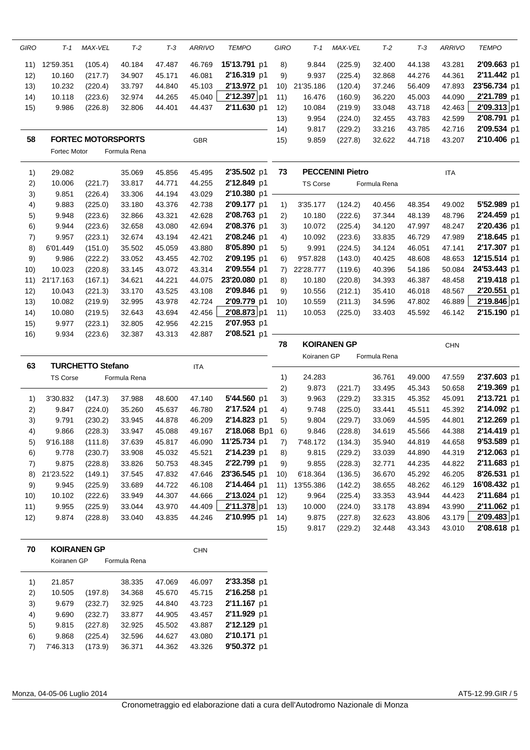| <b>GIRO</b> | $T-1$        | MAX-VEL                   | $T-2$        | $T-3$  | <b>ARRIVO</b> | <b>TEMPO</b> | <b>GIRO</b> | $T-1$           | MAX-VEL                 | $T-2$        | $T-3$  | <b>ARRIVO</b> | <b>TEMPO</b> |
|-------------|--------------|---------------------------|--------------|--------|---------------|--------------|-------------|-----------------|-------------------------|--------------|--------|---------------|--------------|
| 11)         | 12'59.351    | (105.4)                   | 40.184       | 47.487 | 46.769        | 15'13.791 p1 | 8)          | 9.844           | (225.9)                 | 32.400       | 44.138 | 43.281        | 2'09.663 p1  |
| 12)         | 10.160       | (217.7)                   | 34.907       | 45.171 | 46.081        | 2'16.319 p1  | 9)          | 9.937           | (225.4)                 | 32.868       | 44.276 | 44.361        | 2'11.442 p1  |
| 13)         | 10.232       | (220.4)                   | 33.797       | 44.840 | 45.103        | 2'13.972 p1  | 10)         | 21'35.186       | (120.4)                 | 37.246       | 56.409 | 47.893        | 23'56.734 p1 |
| 14)         | 10.118       | (223.6)                   | 32.974       | 44.265 | 45.040        | 2'12.397 p1  | 11)         | 16.476          | (160.9)                 | 36.220       | 45.003 | 44.090        | 2'21.789 p1  |
| 15)         | 9.986        | (226.8)                   | 32.806       | 44.401 | 44.437        | 2'11.630 p1  | 12)         | 10.084          | (219.9)                 | 33.048       | 43.718 | 42.463        | 2'09.313 p1  |
|             |              |                           |              |        |               |              | 13)         | 9.954           | (224.0)                 | 32.455       | 43.783 | 42.599        | 2'08.791 p1  |
|             |              |                           |              |        |               |              | 14)         | 9.817           | (229.2)                 | 33.216       | 43.785 | 42.716        | 2'09.534 p1  |
| 58          |              | <b>FORTEC MOTORSPORTS</b> |              |        | GBR           |              | 15)         | 9.859           | (227.8)                 | 32.622       | 44.718 | 43.207        | 2'10.406 p1  |
|             | Fortec Motor |                           | Formula Rena |        |               |              |             |                 |                         |              |        |               |              |
| 1)          | 29.082       |                           | 35.069       | 45.856 | 45.495        | 2'35.502 p1  | 73          |                 | <b>PECCENINI Pietro</b> |              |        | <b>ITA</b>    |              |
| 2)          | 10.006       | (221.7)                   | 33.817       | 44.771 | 44.255        | 2'12.849 p1  |             | <b>TS Corse</b> |                         | Formula Rena |        |               |              |
| 3)          | 9.851        | (226.4)                   | 33.306       | 44.194 | 43.029        | 2'10.380 p1  |             |                 |                         |              |        |               |              |
| 4)          | 9.883        | (225.0)                   | 33.180       | 43.376 | 42.738        | 2'09.177 p1  | 1)          | 3'35.177        | (124.2)                 | 40.456       | 48.354 | 49.002        | 5'52.989 p1  |
| 5)          | 9.948        | (223.6)                   | 32.866       | 43.321 | 42.628        | 2'08.763 p1  | 2)          | 10.180          | (222.6)                 | 37.344       | 48.139 | 48.796        | 2'24.459 p1  |
| 6)          | 9.944        | (223.6)                   | 32.658       | 43.080 | 42.694        | 2'08.376 p1  | 3)          | 10.072          | (225.4)                 | 34.120       | 47.997 | 48.247        | 2'20.436 p1  |
| 7)          | 9.957        | (223.1)                   | 32.674       | 43.194 | 42.421        | 2'08.246 p1  | 4)          | 10.092          | (223.6)                 | 33.835       | 46.729 | 47.989        | 2'18.645 p1  |
| 8)          | 6'01.449     | (151.0)                   | 35.502       | 45.059 | 43.880        | 8'05.890 p1  | 5)          | 9.991           | (224.5)                 | 34.124       | 46.051 | 47.141        | 2'17.307 p1  |
| 9)          | 9.986        | (222.2)                   | 33.052       | 43.455 | 42.702        | 2'09.195 p1  | 6)          | 9'57.828        | (143.0)                 | 40.425       | 48.608 | 48.653        | 12'15.514 p1 |
| 10)         | 10.023       | (220.8)                   | 33.145       | 43.072 | 43.314        | 2'09.554 p1  | 7)          | 22'28.777       | (119.6)                 | 40.396       | 54.186 | 50.084        | 24'53.443 p1 |
| 11)         | 21'17.163    | (167.1)                   | 34.621       | 44.221 | 44.075        | 23'20.080 p1 | 8)          | 10.180          | (220.8)                 | 34.393       | 46.387 | 48.458        | 2'19.418 p1  |
| 12)         | 10.043       | (221.3)                   | 33.170       | 43.525 | 43.108        | 2'09.846 p1  | 9)          | 10.556          | (212.1)                 | 35.410       | 46.018 | 48.567        | 2'20.551 p1  |
| 13)         | 10.082       | (219.9)                   | 32.995       | 43.978 | 42.724        | 2'09.779 p1  | 10)         | 10.559          | (211.3)                 | 34.596       | 47.802 | 46.889        | 2'19.846 p1  |
| (14)        | 10.080       | (219.5)                   | 32.643       | 43.694 | 42.456        | 2'08.873 p1  | 11)         | 10.053          | (225.0)                 | 33.403       | 45.592 | 46.142        | 2'15.190 p1  |
| 15)         | 9.977        | (223.1)                   | 32.805       | 42.956 | 42.215        | 2'07.953 p1  |             |                 |                         |              |        |               |              |
| 16)         | 9.934        | (223.6)                   | 32.387       | 43.313 | 42.887        | 2'08.521 p1  |             |                 |                         |              |        |               |              |

|     | 78<br><b>KOIRANEN GP</b> |                   |              |        |            |              |      |             |         |              | <b>CHN</b> |        |                     |
|-----|--------------------------|-------------------|--------------|--------|------------|--------------|------|-------------|---------|--------------|------------|--------|---------------------|
| 63  |                          | TURCHETTO Stefano |              |        | <b>ITA</b> |              |      | Koiranen GP |         | Formula Rena |            |        |                     |
|     | <b>TS Corse</b>          |                   | Formula Rena |        |            |              | 1)   | 24.283      |         | 36.761       | 49.000     | 47.559 | 2'37.603 p1         |
|     |                          |                   |              |        |            |              | 2)   | 9.873       | (221.7) | 33.495       | 45.343     | 50.658 | 2'19.369 p1         |
| 1)  | 3'30.832                 | (147.3)           | 37.988       | 48.600 | 47.140     | 5'44.560 p1  | 3)   | 9.963       | (229.2) | 33.315       | 45.352     | 45.091 | 2'13.721 p1         |
| 2)  | 9.847                    | (224.0)           | 35.260       | 45.637 | 46.780     | 2'17.524 p1  | 4)   | 9.748       | (225.0) | 33.441       | 45.511     | 45.392 | 2'14.092 p1         |
| 3)  | 9.791                    | (230.2)           | 33.945       | 44.878 | 46.209     | 2'14.823 p1  | 5)   | 9.804       | (229.7) | 33.069       | 44.595     | 44.801 | 2'12.269 p1         |
| 4)  | 9.866                    | (228.3)           | 33.947       | 45.088 | 49.167     | 2'18.068 Bp1 | 6)   | 9.846       | (228.8) | 34.619       | 45.566     | 44.388 | 2'14.419 p1         |
| 5)  | 9'16.188                 | (111.8)           | 37.639       | 45.817 | 46.090     | 11'25.734 p1 | 7)   | 7'48.172    | (134.3) | 35.940       | 44.819     | 44.658 | 9'53.589 p1         |
| 6)  | 9.778                    | (230.7)           | 33.908       | 45.032 | 45.521     | 2'14.239 p1  | 8)   | 9.815       | (229.2) | 33.039       | 44.890     | 44.319 | 2'12.063 p1         |
| 7)  | 9.875                    | (228.8)           | 33.826       | 50.753 | 48.345     | 2'22.799 p1  | 9)   | 9.855       | (228.3) | 32.771       | 44.235     | 44.822 | 2'11.683 p1         |
| 8)  | 21'23.522                | (149.1)           | 37.545       | 47.832 | 47.646     | 23'36.545 p1 | 10)  | 6'18.364    | (136.5) | 36.670       | 45.292     | 46.205 | 8'26.531 p1         |
| 9)  | 9.945                    | (225.9)           | 33.689       | 44.722 | 46.108     | 2'14.464 p1  | 11)  | 13'55.386   | (142.2) | 38.655       | 48.262     | 46.129 | <b>16'08.432</b> p1 |
| 10) | 10.102                   | (222.6)           | 33.949       | 44.307 | 44.666     | 2'13.024 p1  | 12)  | 9.964       | (225.4) | 33.353       | 43.944     | 44.423 | 2'11.684 p1         |
| 11) | 9.955                    | (225.9)           | 33.044       | 43.970 | 44.409     | 2'11.378 p1  | (13) | 10.000      | (224.0) | 33.178       | 43.894     | 43.990 | 2'11.062 p1         |
| 12) | 9.874                    | (228.8)           | 33.040       | 43.835 | 44.246     | 2'10.995 p1  | 14)  | 9.875       | (227.8) | 32.623       | 43.806     | 43.179 | 2'09.483 p1         |
|     |                          |                   |              |        |            |              | 15)  | 9.817       | (229.2) | 32.448       | 43.343     | 43.010 | 2'08.618 p1         |

| 70 | <b>KOIRANEN GP</b> |         |              | <b>CHN</b> |        |             |  |  |
|----|--------------------|---------|--------------|------------|--------|-------------|--|--|
|    | Koiranen GP        |         | Formula Rena |            |        |             |  |  |
| 1) | 21.857             |         | 38.335       | 47.069     | 46.097 | 2'33.358 p1 |  |  |
| 2) | 10.505             | (197.8) | 34.368       | 45.670     | 45.715 | 2'16.258 p1 |  |  |
| 3) | 9.679              | (232.7) | 32.925       | 44.840     | 43.723 | 2'11.167 p1 |  |  |
| 4) | 9.690              | (232.7) | 33.877       | 44.905     | 43.457 | 2'11.929 p1 |  |  |
| 5) | 9.815              | (227.8) | 32.925       | 45.502     | 43.887 | 2'12.129 p1 |  |  |
| 6) | 9.868              | (225.4) | 32.596       | 44.627     | 43.080 | 2'10.171 p1 |  |  |
| 7) | 7'46.313           | (173.9) | 36.371       | 44.362     | 43.326 | 9'50.372 p1 |  |  |
|    |                    |         |              |            |        |             |  |  |

Monza, 04-05-06 Luglio 2014 AT5-12.99.GIR / 5